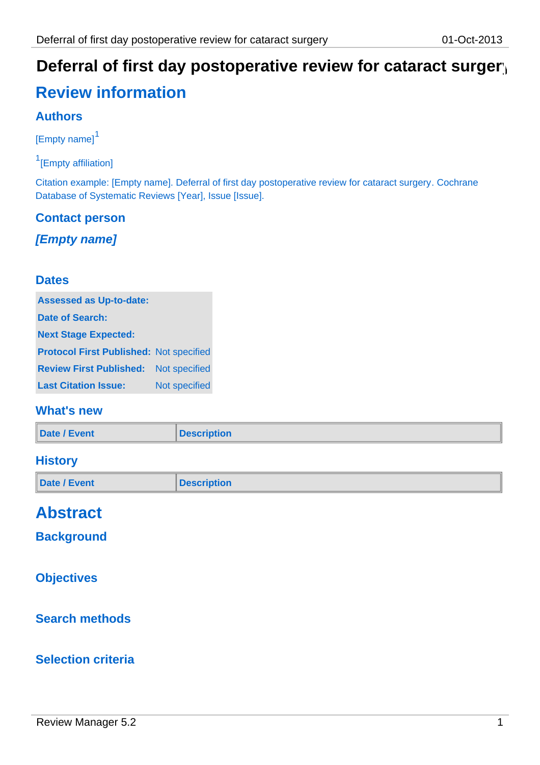# Deferral of first day postoperative review for cataract surgery

# **Review information**

### **Authors**

[Empty name]<sup>1</sup>

<sup>1</sup>[Empty affiliation]

Citation example: [Empty name]. Deferral of first day postoperative review for cataract surgery. Cochrane Database of Systematic Reviews [Year], Issue [Issue].

# **Contact person**

*[Empty name]*

#### **Dates**

| <b>Assessed as Up-to-date:</b>                 |               |
|------------------------------------------------|---------------|
| Date of Search:                                |               |
| <b>Next Stage Expected:</b>                    |               |
| <b>Protocol First Published: Not specified</b> |               |
| <b>Review First Published:</b>                 | Not specified |
| <b>Last Citation Issue:</b>                    | Not specified |

#### **What's new**

|  | <b>Date / Event</b> | <b>Description</b> |
|--|---------------------|--------------------|
|--|---------------------|--------------------|

#### **History**

| Date / Event | <b>Description</b> |
|--------------|--------------------|
|              |                    |

# **Abstract**

**Background**

#### **Objectives**

### **Search methods**

#### **Selection criteria**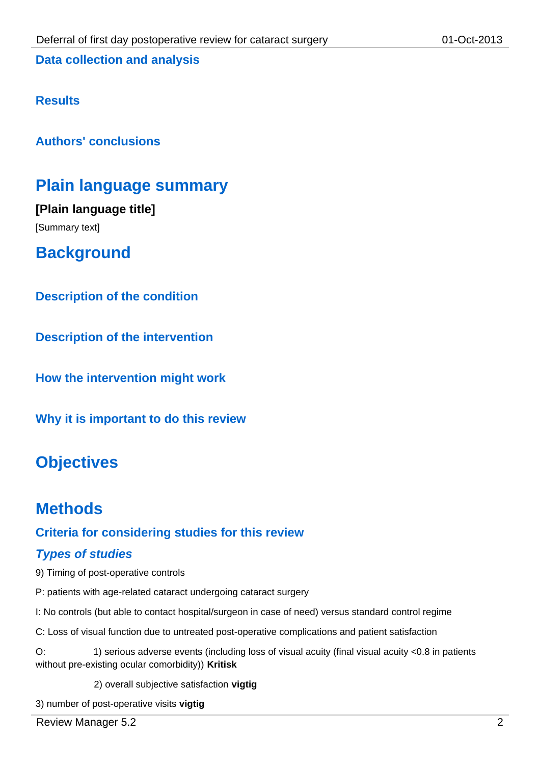**Data collection and analysis**

#### **Results**

**Authors' conclusions**

## **Plain language summary**

**[Plain language title]** [Summary text]

**Background**

**Description of the condition**

**Description of the intervention**

**How the intervention might work**

**Why it is important to do this review**

# **Objectives**

### **Methods**

#### **Criteria for considering studies for this review**

#### *Types of studies*

9) Timing of post-operative controls

- P: patients with age-related cataract undergoing cataract surgery
- I: No controls (but able to contact hospital/surgeon in case of need) versus standard control regime
- C: Loss of visual function due to untreated post-operative complications and patient satisfaction

O: 1) serious adverse events (including loss of visual acuity (final visual acuity <0.8 in patients without pre-existing ocular comorbidity)) **Kritisk**

2) overall subjective satisfaction **vigtig**

3) number of post-operative visits **vigtig**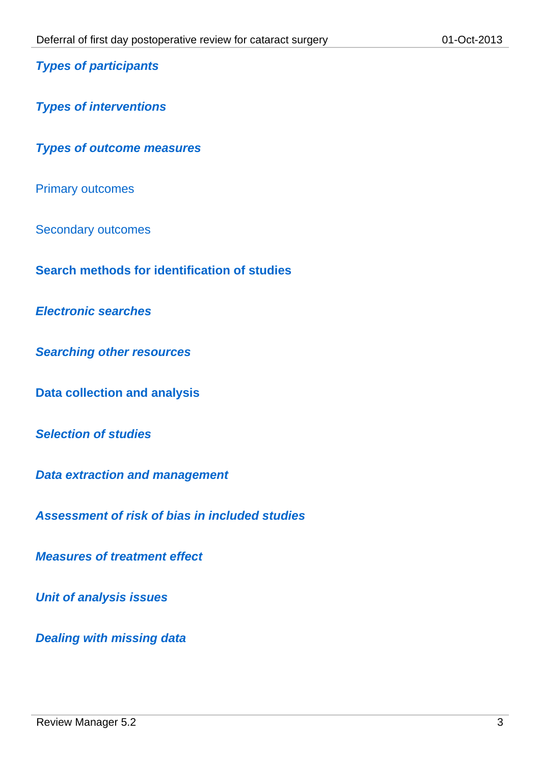*Types of participants*

*Types of interventions*

*Types of outcome measures*

Primary outcomes

Secondary outcomes

**Search methods for identification of studies**

*Electronic searches*

*Searching other resources*

**Data collection and analysis**

*Selection of studies*

*Data extraction and management*

*Assessment of risk of bias in included studies*

*Measures of treatment effect*

*Unit of analysis issues*

*Dealing with missing data*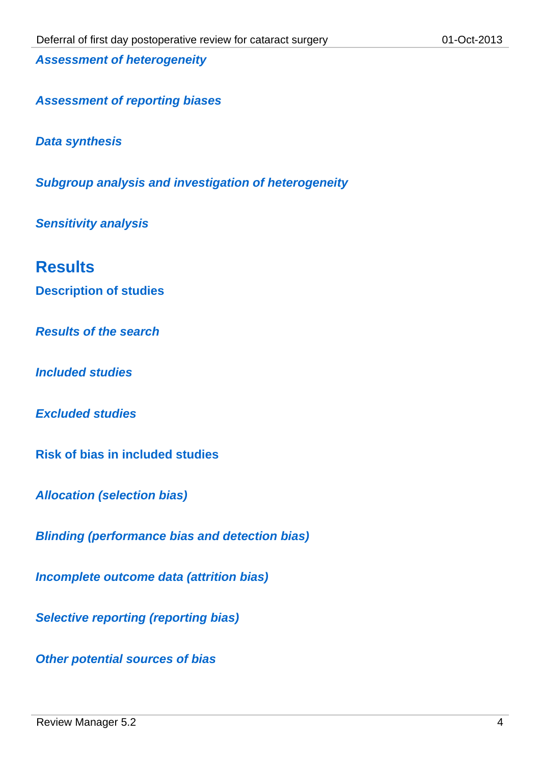*Assessment of heterogeneity*

*Assessment of reporting biases*

*Data synthesis*

*Subgroup analysis and investigation of heterogeneity*

*Sensitivity analysis*

### **Results**

**Description of studies**

*Results of the search*

*Included studies*

*Excluded studies*

**Risk of bias in included studies**

*Allocation (selection bias)*

*Blinding (performance bias and detection bias)*

*Incomplete outcome data (attrition bias)*

*Selective reporting (reporting bias)*

*Other potential sources of bias*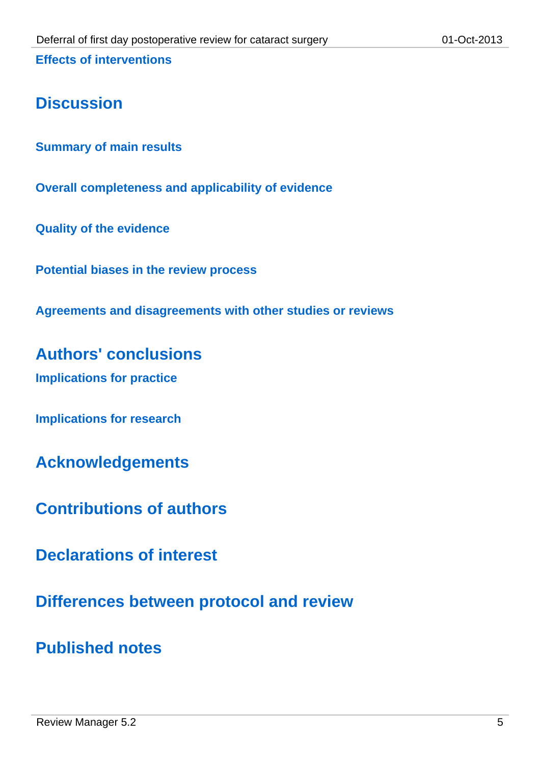# **Discussion**

**Summary of main results**

**Overall completeness and applicability of evidence**

**Quality of the evidence**

**Potential biases in the review process**

**Agreements and disagreements with other studies or reviews**

**Authors' conclusions Implications for practice**

**Implications for research**

**Acknowledgements**

**Contributions of authors**

**Declarations of interest**

**Differences between protocol and review**

**Published notes**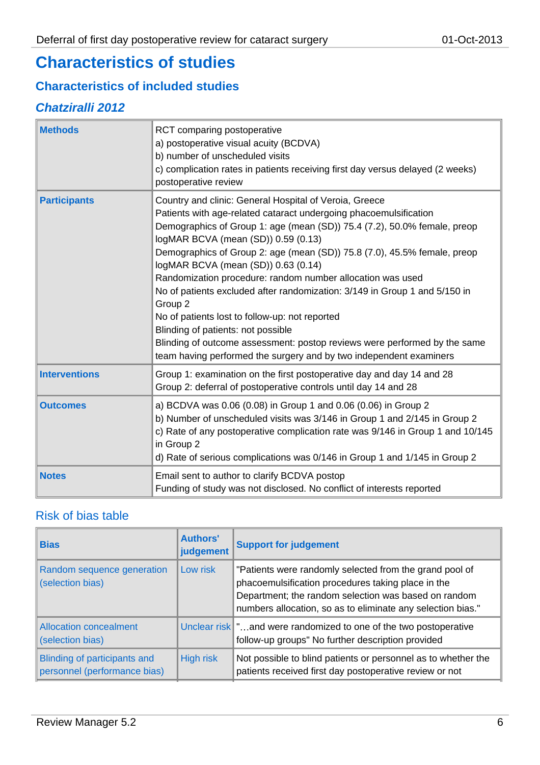# **Characteristics of studies**

#### **Characteristics of included studies**

#### *Chatziralli 2012*

| <b>Methods</b>       | RCT comparing postoperative<br>a) postoperative visual acuity (BCDVA)<br>b) number of unscheduled visits<br>c) complication rates in patients receiving first day versus delayed (2 weeks)<br>postoperative review                                                                                                                                                                                                                                                                                                                                                                                                                                                                                                                                                  |
|----------------------|---------------------------------------------------------------------------------------------------------------------------------------------------------------------------------------------------------------------------------------------------------------------------------------------------------------------------------------------------------------------------------------------------------------------------------------------------------------------------------------------------------------------------------------------------------------------------------------------------------------------------------------------------------------------------------------------------------------------------------------------------------------------|
| <b>Participants</b>  | Country and clinic: General Hospital of Veroia, Greece<br>Patients with age-related cataract undergoing phacoemulsification<br>Demographics of Group 1: age (mean (SD)) 75.4 (7.2), 50.0% female, preop<br>logMAR BCVA (mean (SD)) 0.59 (0.13)<br>Demographics of Group 2: age (mean (SD)) 75.8 (7.0), 45.5% female, preop<br>logMAR BCVA (mean (SD)) 0.63 (0.14)<br>Randomization procedure: random number allocation was used<br>No of patients excluded after randomization: 3/149 in Group 1 and 5/150 in<br>Group 2<br>No of patients lost to follow-up: not reported<br>Blinding of patients: not possible<br>Blinding of outcome assessment: postop reviews were performed by the same<br>team having performed the surgery and by two independent examiners |
| <b>Interventions</b> | Group 1: examination on the first postoperative day and day 14 and 28<br>Group 2: deferral of postoperative controls until day 14 and 28                                                                                                                                                                                                                                                                                                                                                                                                                                                                                                                                                                                                                            |
| <b>Outcomes</b>      | a) BCDVA was 0.06 (0.08) in Group 1 and 0.06 (0.06) in Group 2<br>b) Number of unscheduled visits was 3/146 in Group 1 and 2/145 in Group 2<br>c) Rate of any postoperative complication rate was 9/146 in Group 1 and 10/145<br>in Group 2<br>d) Rate of serious complications was 0/146 in Group 1 and 1/145 in Group 2                                                                                                                                                                                                                                                                                                                                                                                                                                           |
| <b>Notes</b>         | Email sent to author to clarify BCDVA postop<br>Funding of study was not disclosed. No conflict of interests reported                                                                                                                                                                                                                                                                                                                                                                                                                                                                                                                                                                                                                                               |

### Risk of bias table

| <b>Bias</b>                                                  | <b>Authors'</b><br>judgement | <b>Support for judgement</b>                                                                                                                                                                                                         |
|--------------------------------------------------------------|------------------------------|--------------------------------------------------------------------------------------------------------------------------------------------------------------------------------------------------------------------------------------|
| Random sequence generation<br>(selection bias)               | Low risk                     | "Patients were randomly selected from the grand pool of<br>phacoemulsification procedures taking place in the<br>Department; the random selection was based on random<br>numbers allocation, so as to eliminate any selection bias." |
| Allocation concealment<br>(selection bias)                   |                              | Unclear risk   "and were randomized to one of the two postoperative<br>follow-up groups" No further description provided                                                                                                             |
| Blinding of participants and<br>personnel (performance bias) | High risk                    | Not possible to blind patients or personnel as to whether the<br>patients received first day postoperative review or not                                                                                                             |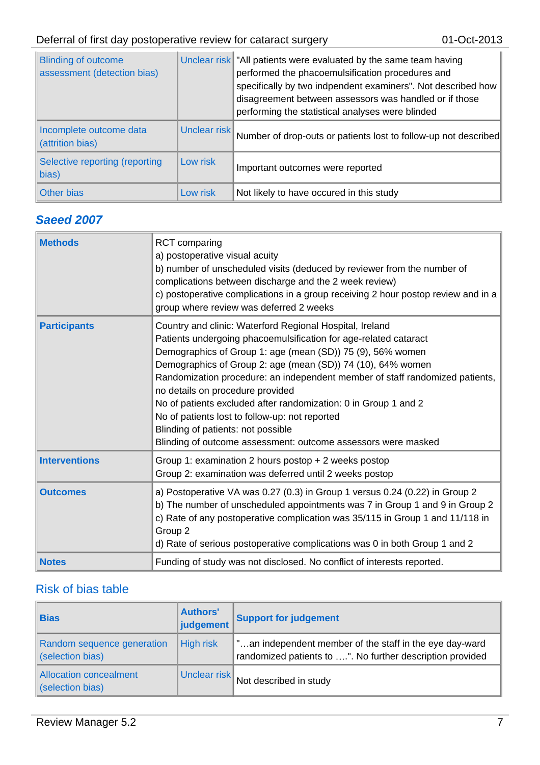| <b>Blinding of outcome</b><br>assessment (detection bias) |              | Unclear risk TAII patients were evaluated by the same team having<br>performed the phacoemulsification procedures and<br>specifically by two indpendent examiners". Not described how<br>disagreement between assessors was handled or if those<br>performing the statistical analyses were blinded |
|-----------------------------------------------------------|--------------|-----------------------------------------------------------------------------------------------------------------------------------------------------------------------------------------------------------------------------------------------------------------------------------------------------|
| Incomplete outcome data<br>(attrition bias)               | Unclear risk | Number of drop-outs or patients lost to follow-up not described                                                                                                                                                                                                                                     |
| Selective reporting (reporting<br>bias)                   | Low risk     | Important outcomes were reported                                                                                                                                                                                                                                                                    |
| Other bias                                                | Low risk     | Not likely to have occured in this study                                                                                                                                                                                                                                                            |

### *Saeed 2007*

| <b>Methods</b>       | <b>RCT</b> comparing<br>a) postoperative visual acuity<br>b) number of unscheduled visits (deduced by reviewer from the number of<br>complications between discharge and the 2 week review)<br>c) postoperative complications in a group receiving 2 hour postop review and in a<br>group where review was deferred 2 weeks                                                                                                                                                                                                                                                                               |
|----------------------|-----------------------------------------------------------------------------------------------------------------------------------------------------------------------------------------------------------------------------------------------------------------------------------------------------------------------------------------------------------------------------------------------------------------------------------------------------------------------------------------------------------------------------------------------------------------------------------------------------------|
| <b>Participants</b>  | Country and clinic: Waterford Regional Hospital, Ireland<br>Patients undergoing phacoemulsification for age-related cataract<br>Demographics of Group 1: age (mean (SD)) 75 (9), 56% women<br>Demographics of Group 2: age (mean (SD)) 74 (10), 64% women<br>Randomization procedure: an independent member of staff randomized patients,<br>no details on procedure provided<br>No of patients excluded after randomization: 0 in Group 1 and 2<br>No of patients lost to follow-up: not reported<br>Blinding of patients: not possible<br>Blinding of outcome assessment: outcome assessors were masked |
| <b>Interventions</b> | Group 1: examination 2 hours postop + 2 weeks postop<br>Group 2: examination was deferred until 2 weeks postop                                                                                                                                                                                                                                                                                                                                                                                                                                                                                            |
| <b>Outcomes</b>      | a) Postoperative VA was 0.27 (0.3) in Group 1 versus 0.24 (0.22) in Group 2<br>b) The number of unscheduled appointments was 7 in Group 1 and 9 in Group 2<br>c) Rate of any postoperative complication was 35/115 in Group 1 and 11/118 in<br>Group 2<br>d) Rate of serious postoperative complications was 0 in both Group 1 and 2                                                                                                                                                                                                                                                                      |
| <b>Notes</b>         | Funding of study was not disclosed. No conflict of interests reported.                                                                                                                                                                                                                                                                                                                                                                                                                                                                                                                                    |

### Risk of bias table

| <b>Bias</b>                                       | <b>Authors'</b><br>judgement | <b>Support for judgement</b>                                                                                         |
|---------------------------------------------------|------------------------------|----------------------------------------------------------------------------------------------------------------------|
| Random sequence generation<br>(selection bias)    | <b>High risk</b>             | "an independent member of the staff in the eye day-ward<br>randomized patients to ". No further description provided |
| <b>Allocation concealment</b><br>(selection bias) | Unclear risk                 | Not described in study                                                                                               |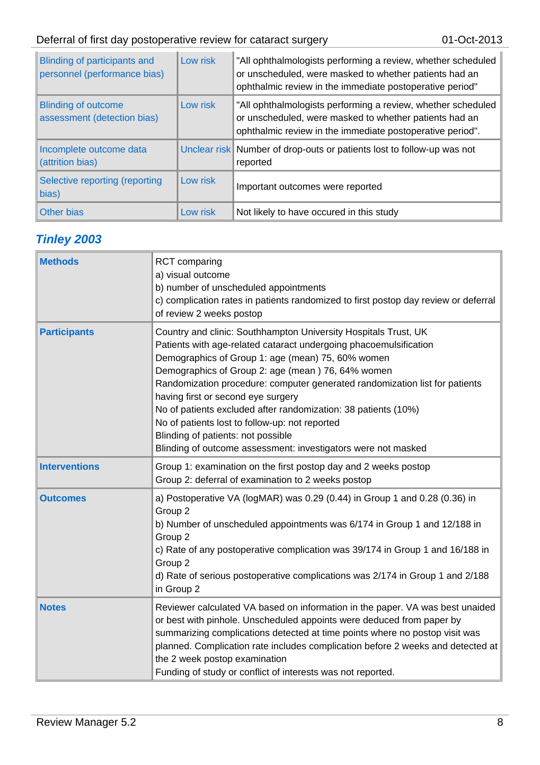| Blinding of participants and<br>personnel (performance bias) | Low risk | "All ophthalmologists performing a review, whether scheduled<br>or unscheduled, were masked to whether patients had an<br>ophthalmic review in the immediate postoperative period"  |
|--------------------------------------------------------------|----------|-------------------------------------------------------------------------------------------------------------------------------------------------------------------------------------|
| <b>Blinding of outcome</b><br>assessment (detection bias)    | Low risk | "All ophthalmologists performing a review, whether scheduled<br>or unscheduled, were masked to whether patients had an<br>ophthalmic review in the immediate postoperative period". |
| Incomplete outcome data<br>(attrition bias)                  |          | Unclear risk Number of drop-outs or patients lost to follow-up was not<br>reported                                                                                                  |
| Selective reporting (reporting<br>bias)                      | Low risk | Important outcomes were reported                                                                                                                                                    |
| Other bias                                                   | Low risk | Not likely to have occured in this study                                                                                                                                            |

## *Tinley 2003*

| <b>Methods</b>       | <b>RCT</b> comparing<br>a) visual outcome<br>b) number of unscheduled appointments<br>c) complication rates in patients randomized to first postop day review or deferral<br>of review 2 weeks postop                                                                                                                                                                                                                                                                                                                                                                                          |
|----------------------|------------------------------------------------------------------------------------------------------------------------------------------------------------------------------------------------------------------------------------------------------------------------------------------------------------------------------------------------------------------------------------------------------------------------------------------------------------------------------------------------------------------------------------------------------------------------------------------------|
| <b>Participants</b>  | Country and clinic: Southhampton University Hospitals Trust, UK<br>Patients with age-related cataract undergoing phacoemulsification<br>Demographics of Group 1: age (mean) 75, 60% women<br>Demographics of Group 2: age (mean) 76, 64% women<br>Randomization procedure: computer generated randomization list for patients<br>having first or second eye surgery<br>No of patients excluded after randomization: 38 patients (10%)<br>No of patients lost to follow-up: not reported<br>Blinding of patients: not possible<br>Blinding of outcome assessment: investigators were not masked |
| <b>Interventions</b> | Group 1: examination on the first postop day and 2 weeks postop<br>Group 2: deferral of examination to 2 weeks postop                                                                                                                                                                                                                                                                                                                                                                                                                                                                          |
| <b>Outcomes</b>      | a) Postoperative VA (logMAR) was 0.29 (0.44) in Group 1 and 0.28 (0.36) in<br>Group 2<br>b) Number of unscheduled appointments was 6/174 in Group 1 and 12/188 in<br>Group 2<br>c) Rate of any postoperative complication was 39/174 in Group 1 and 16/188 in<br>Group 2<br>d) Rate of serious postoperative complications was 2/174 in Group 1 and 2/188<br>in Group 2                                                                                                                                                                                                                        |
| <b>Notes</b>         | Reviewer calculated VA based on information in the paper. VA was best unaided<br>or best with pinhole. Unscheduled appoints were deduced from paper by<br>summarizing complications detected at time points where no postop visit was<br>planned. Complication rate includes complication before 2 weeks and detected at<br>the 2 week postop examination<br>Funding of study or conflict of interests was not reported.                                                                                                                                                                       |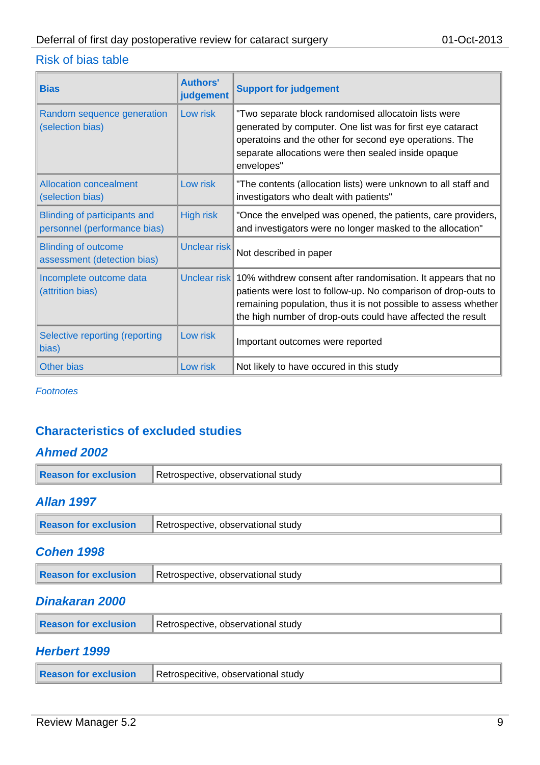#### Risk of bias table

| <b>Bias</b>                                                         | <b>Authors'</b><br>judgement | <b>Support for judgement</b>                                                                                                                                                                                                                                                  |
|---------------------------------------------------------------------|------------------------------|-------------------------------------------------------------------------------------------------------------------------------------------------------------------------------------------------------------------------------------------------------------------------------|
| Random sequence generation<br>(selection bias)                      | Low risk                     | "Two separate block randomised allocatoin lists were<br>generated by computer. One list was for first eye cataract<br>operatoins and the other for second eye operations. The<br>separate allocations were then sealed inside opaque<br>envelopes"                            |
| <b>Allocation concealment</b><br>(selection bias)                   | Low risk                     | "The contents (allocation lists) were unknown to all staff and<br>investigators who dealt with patients"                                                                                                                                                                      |
| <b>Blinding of participants and</b><br>personnel (performance bias) | <b>High risk</b>             | "Once the envelped was opened, the patients, care providers,<br>and investigators were no longer masked to the allocation"                                                                                                                                                    |
| <b>Blinding of outcome</b><br>assessment (detection bias)           | Unclear risk                 | Not described in paper                                                                                                                                                                                                                                                        |
| Incomplete outcome data<br>(attrition bias)                         |                              | Unclear risk 10% withdrew consent after randomisation. It appears that no<br>patients were lost to follow-up. No comparison of drop-outs to<br>remaining population, thus it is not possible to assess whether<br>the high number of drop-outs could have affected the result |
| Selective reporting (reporting<br>bias)                             | Low risk                     | Important outcomes were reported                                                                                                                                                                                                                                              |
| <b>Other bias</b>                                                   | Low risk                     | Not likely to have occured in this study                                                                                                                                                                                                                                      |

*Footnotes*

### **Characteristics of excluded studies**

#### *Ahmed 2002*

| Reason for exclusion | Retrospective, observational study |
|----------------------|------------------------------------|
|                      |                                    |

#### *Allan 1997*

| Reason for exclusion | Retrospective, observational study |
|----------------------|------------------------------------|
|                      |                                    |

#### *Cohen 1998*

| <b>Reason for exclusion</b> | Retrospective, observational study |
|-----------------------------|------------------------------------|
|                             |                                    |

#### *Dinakaran 2000*

| Reason for exclusion | Retrospective, observational study |
|----------------------|------------------------------------|
|                      |                                    |

#### *Herbert 1999*

| Reason for exclusion | Retrospecitive, observational study |
|----------------------|-------------------------------------|
|----------------------|-------------------------------------|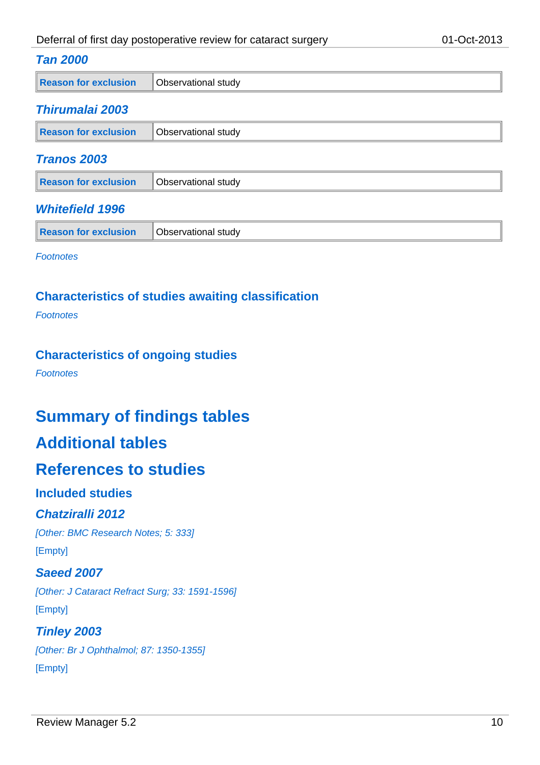#### *Tan 2000*

| Reason for exclusion | Observational study |
|----------------------|---------------------|
|----------------------|---------------------|

#### *Thirumalai 2003*

| Reason for exclusion | Observational study |
|----------------------|---------------------|
| - - - -              |                     |

#### *Tranos 2003*

| Reason for exclusion | <b>Observational study</b> |  |
|----------------------|----------------------------|--|
|                      |                            |  |

#### *Whitefield 1996*

| Reason for exclusion | Observational study |  |
|----------------------|---------------------|--|
|----------------------|---------------------|--|

*Footnotes*

#### **Characteristics of studies awaiting classification**

*Footnotes*

#### **Characteristics of ongoing studies**

*Footnotes*

# **Summary of findings tables**

# **Additional tables**

### **References to studies**

#### **Included studies**

#### *Chatziralli 2012*

*[Other: BMC Research Notes; 5: 333]* [Empty]

#### *Saeed 2007*

*[Other: J Cataract Refract Surg; 33: 1591-1596]* [Empty]

# *Tinley 2003*

*[Other: Br J Ophthalmol; 87: 1350-1355]* [Empty]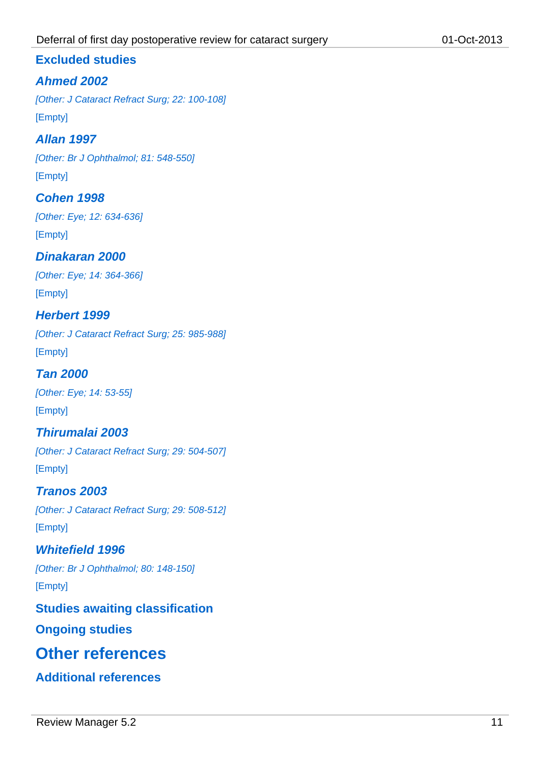#### **Excluded studies**

#### *Ahmed 2002*

*[Other: J Cataract Refract Surg; 22: 100-108]* [Empty]

#### *Allan 1997*

*[Other: Br J Ophthalmol; 81: 548-550]*

[Empty]

#### *Cohen 1998*

*[Other: Eye; 12: 634-636]* [Empty]

#### *Dinakaran 2000*

*[Other: Eye; 14: 364-366]* [Empty]

#### *Herbert 1999*

*[Other: J Cataract Refract Surg; 25: 985-988]* [Empty]

*Tan 2000 [Other: Eye; 14: 53-55]* [Empty]

### *Thirumalai 2003 [Other: J Cataract Refract Surg; 29: 504-507]* [Empty]

*Tranos 2003 [Other: J Cataract Refract Surg; 29: 508-512]* [Empty]

*Whitefield 1996 [Other: Br J Ophthalmol; 80: 148-150]* [Empty]

**Studies awaiting classification**

**Ongoing studies**

# **Other references**

**Additional references**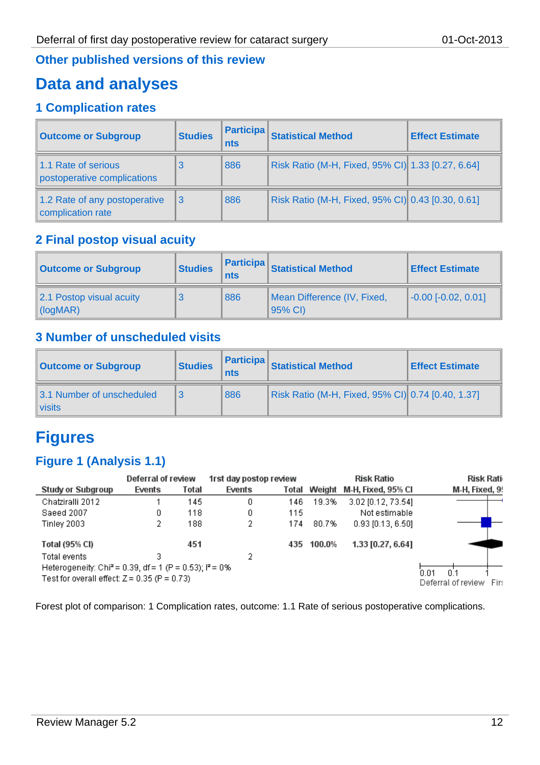#### **Other published versions of this review**

# **Data and analyses**

### **1 Complication rates**

| <b>Outcome or Subgroup</b>                         | <b>Studies</b> | <b>Participa</b><br>nts | <b>Statistical Method</b>                         | <b>Effect Estimate</b> |
|----------------------------------------------------|----------------|-------------------------|---------------------------------------------------|------------------------|
| 1.1 Rate of serious<br>postoperative complications |                | 886                     | Risk Ratio (M-H, Fixed, 95% CI) 1.33 [0.27, 6.64] |                        |
| 1.2 Rate of any postoperative<br>complication rate | 3              | 886                     | Risk Ratio (M-H, Fixed, 95% CI) 0.43 [0.30, 0.61] |                        |

### **2 Final postop visual acuity**

| <b>Outcome or Subgroup</b>                            | <b>Studies</b> | <b>Participa</b><br>nts | <b>Statistical Method</b>              | <b>Effect Estimate</b>             |
|-------------------------------------------------------|----------------|-------------------------|----------------------------------------|------------------------------------|
| 2.1 Postop visual acuity<br>$\log_{10}(log_{10}(MR))$ |                | 886                     | Mean Difference (IV, Fixed,<br>95% CI) | $\left[-0.00\right]$ [-0.02, 0.01] |

### **3 Number of unscheduled visits**

| <b>Outcome or Subgroup</b>               | <b>Studies</b> | <b>Participa</b><br>nts | Statistical Method                                | <b>Effect Estimate</b> |
|------------------------------------------|----------------|-------------------------|---------------------------------------------------|------------------------|
| 3.1 Number of unscheduled<br>$\ $ visits |                | 886                     | Risk Ratio (M-H, Fixed, 95% CI) 0.74 [0.40, 1.37] |                        |

# **Figures**

#### **Figure 1 (Analysis 1.1)**

| Deferral of review                                                                                                     |        | 1rst day postop review |        |       | <b>Risk Ratio</b> | Risk Rati                 |                                                      |
|------------------------------------------------------------------------------------------------------------------------|--------|------------------------|--------|-------|-------------------|---------------------------|------------------------------------------------------|
| Study or Subgroup                                                                                                      | Events | Total                  | Events | Total |                   | Weight M-H, Fixed, 95% CI | M-H, Fixed, 9!                                       |
| Chatziralli 2012                                                                                                       |        | 145                    | 0      | 146   | 19.3%             | 3.02 [0.12, 73.54]        |                                                      |
| Saeed 2007                                                                                                             | 0      | 118                    | 0      | 115   |                   | Not estimable             |                                                      |
| Tinley 2003                                                                                                            |        | 188                    | 2      | 174   | 80.7%             | $0.93$ [0.13, 6.50]       |                                                      |
| Total (95% CI)                                                                                                         |        | 451                    |        |       | 435 100.0%        | 1.33 [0.27, 6.64]         |                                                      |
| Total events                                                                                                           |        |                        | 2      |       |                   |                           |                                                      |
| Heterogeneity: Chi <sup>2</sup> = 0.39, df = 1 (P = 0.53); $P = 0\%$<br>Test for overall effect: $Z = 0.35$ (P = 0.73) |        |                        |        |       |                   |                           | 0 <sup>1</sup><br>0.01<br>Deferral of review<br>Firs |

Forest plot of comparison: 1 Complication rates, outcome: 1.1 Rate of serious postoperative complications.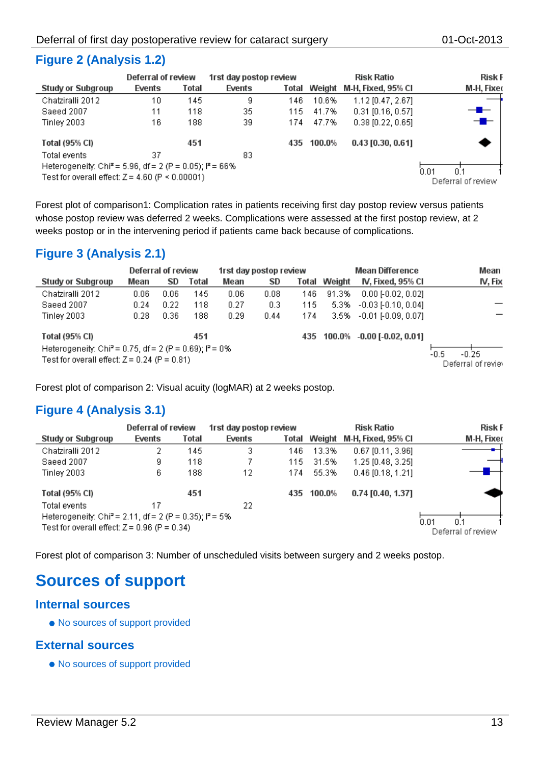|                                                                                                                            | <b>Deferration review</b> |       | Trst day postop review |       |        | KISK KAUO           | <b>KISK F</b>                     |  |
|----------------------------------------------------------------------------------------------------------------------------|---------------------------|-------|------------------------|-------|--------|---------------------|-----------------------------------|--|
| <b>Study or Subgroup</b>                                                                                                   | Events                    | Total | Events                 | Total | Weight | M-H, Fixed, 95% Cl  | M-H, Fixer                        |  |
| Chatziralli 2012                                                                                                           | 10                        | 145   | 9.                     | 146   | 10.6%  | 1.12 [0.47, 2.67]   |                                   |  |
| Saeed 2007                                                                                                                 | 11                        | 118   | 35                     | 115   | 41.7%  | $0.31$ [0.16, 0.57] | ╼                                 |  |
| Tinley 2003                                                                                                                | 16                        | 188   | 39                     | 174   | 47.7%  | $0.38$ [0.22, 0.65] | ╼█╾                               |  |
| Total (95% CI)                                                                                                             |                           | 451   |                        | 435   | 100.0% | $0.43$ [0.30, 0.61] |                                   |  |
| Total events                                                                                                               | 37                        |       | 83.                    |       |        |                     |                                   |  |
| Heterogeneity: Chi <sup>2</sup> = 5.96, df = 2 (P = 0.05); $P = 66\%$<br>Test for overall effect: $Z = 4.60$ (P < 0.00001) |                           |       |                        |       |        |                     | 0.01<br>0.1<br>Deferral of review |  |

Forest plot of comparison1: Complication rates in patients receiving first day postop review versus patients whose postop review was deferred 2 weeks. Complications were assessed at the first postop review, at 2 weeks postop or in the intervening period if patients came back because of complications.

#### **Figure 3 (Analysis 2.1)**

 $\overline{a}$ 

|                                                                                                                         | Deferral of review |      |       | 1rst day postop review |                  |       |        | <b>Mean Difference</b>                  | Mean    |
|-------------------------------------------------------------------------------------------------------------------------|--------------------|------|-------|------------------------|------------------|-------|--------|-----------------------------------------|---------|
| Study or Subgroup                                                                                                       | Mean               | SD   | Total | Mean                   | <b>SD</b>        | Total | Weight | IV, Fixed, 95% CI                       | IV, Fix |
| Chatziralli 2012                                                                                                        | 0.06               | 0.06 | 145   | 0.06                   | 0.08             | 146   | 91.3%  | $0.00$ [-0.02, 0.02]                    |         |
| Saeed 2007                                                                                                              | 0.24               | 0.22 | 118   | 0.27                   | 0.3 <sub>1</sub> | 115   | 5.3%   | $-0.03$ [ $-0.10, 0.04$ ]               |         |
| Tinley 2003                                                                                                             | 0.28               | 0.36 | 188   | 0.29                   | 0.44             | 174   | 3.5%   | $-0.01$ F0.09, 0.071                    |         |
| Total (95% CI)                                                                                                          |                    |      | 451   |                        |                  |       |        | 435 100.0% 0.00 [ 0.02, 0.01]           |         |
| Heterogeneity: Chi <sup>2</sup> = 0.75, df = 2 (P = 0.69); $I^2$ = 0%<br>Test for overall effect: $Z = 0.24$ (P = 0.81) |                    |      |       |                        |                  |       |        | $-0.5$<br>$-0.25$<br>Deferral of reviey |         |

Forest plot of comparison 2: Visual acuity (logMAR) at 2 weeks postop.

### **Figure 4 (Analysis 3.1)**

|                                                                                                                        | Deferral of review |       | 1rst day postop review |       |                                   | <b>Risk Ratio</b>   | <b>Risk F</b> |
|------------------------------------------------------------------------------------------------------------------------|--------------------|-------|------------------------|-------|-----------------------------------|---------------------|---------------|
| <b>Study or Subgroup</b>                                                                                               | Events             | Total | Events                 | Total | Weight                            | M-H, Fixed, 95% Cl  | M-H, Fixed    |
| Chatziralli 2012                                                                                                       | 2                  | 145   | 3                      | 146   | 13.3%                             | $0.67$ [0.11, 3.96] |               |
| Saeed 2007                                                                                                             | g                  | 118   |                        | 115   | 31.5%                             | 1.25 [0.48, 3.25]   |               |
| Tinley 2003                                                                                                            | 6                  | 188   | 12                     | 174   | 55.3%                             | $0.46$ [0.18, 1.21] |               |
| Total (95% CI)                                                                                                         |                    | 451   |                        | 435   | 100.0%                            | $0.74$ [0.40, 1.37] |               |
| Total events                                                                                                           | 17                 |       | 22                     |       |                                   |                     |               |
| Heterogeneity: Chi <sup>2</sup> = 2.11, df = 2 (P = 0.35); $P = 5\%$<br>Test for overall effect: $Z = 0.96$ (P = 0.34) |                    |       |                        |       | 0.01<br>O 1<br>Deferral of review |                     |               |

Forest plot of comparison 3: Number of unscheduled visits between surgery and 2 weeks postop.

# **Sources of support**

#### **Internal sources**

• No sources of support provided

#### **External sources**

• No sources of support provided